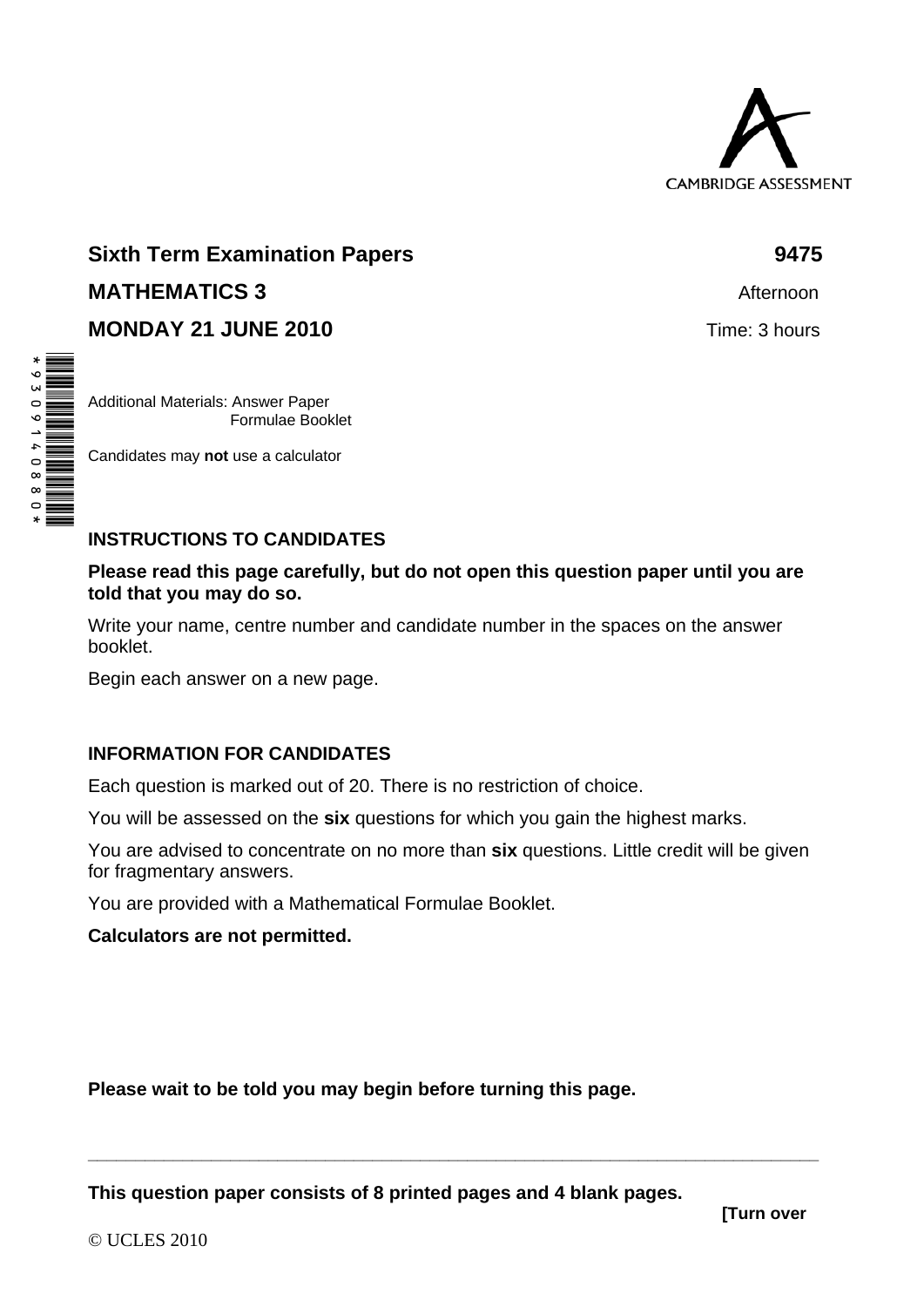

# **Sixth Term Examination Papers 6475 <b>9475 MATHEMATICS 3** Afternoon **MONDAY 21 JUNE 2010 Time: 3 hours**

Additional Materials: Answer Paper Formulae Booklet

Candidates may **not** use a calculator

### **INSTRUCTIONS TO CANDIDATES**

#### **Please read this page carefully, but do not open this question paper until you are told that you may do so.**

Write your name, centre number and candidate number in the spaces on the answer booklet.

Begin each answer on a new page.

#### **INFORMATION FOR CANDIDATES**

Each question is marked out of 20. There is no restriction of choice.

You will be assessed on the **six** questions for which you gain the highest marks.

You are advised to concentrate on no more than **six** questions. Little credit will be given for fragmentary answers.

**\_\_\_\_\_\_\_\_\_\_\_\_\_\_\_\_\_\_\_\_\_\_\_\_\_\_\_\_\_\_\_\_\_\_\_\_\_\_\_\_\_\_\_\_\_\_\_\_\_\_\_\_\_\_\_\_\_\_\_\_\_\_\_\_\_\_\_\_\_\_\_\_\_\_\_\_\_** 

You are provided with a Mathematical Formulae Booklet.

**Calculators are not permitted.** 

**Please wait to be told you may begin before turning this page.** 

**This question paper consists of 8 printed pages and 4 blank pages.** 

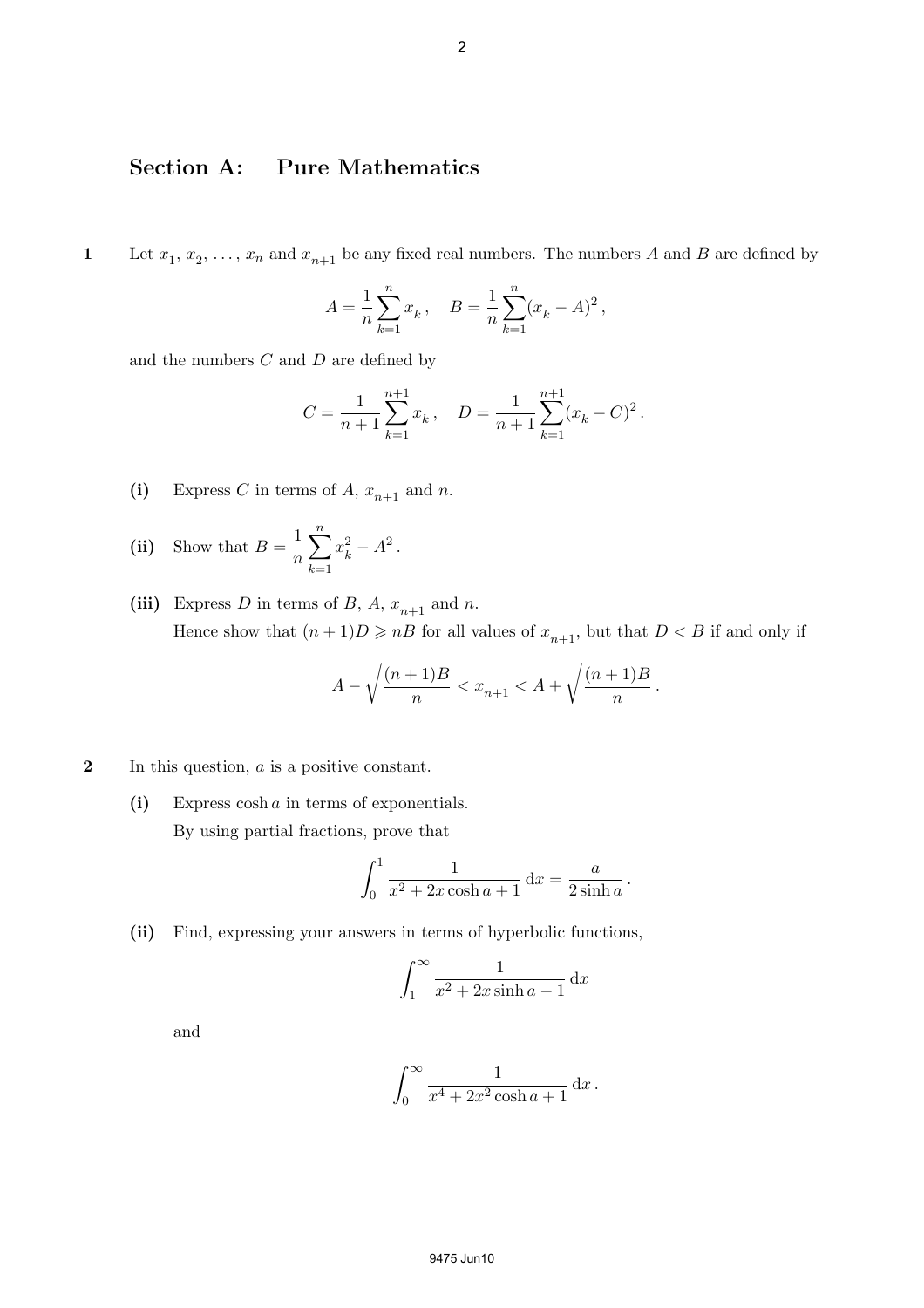## Section A: Pure Mathematics

1 Let  $x_1, x_2, \ldots, x_n$  and  $x_{n+1}$  be any fixed real numbers. The numbers A and B are defined by

$$
A = \frac{1}{n} \sum_{k=1}^{n} x_k \, , \quad B = \frac{1}{n} \sum_{k=1}^{n} (x_k - A)^2 \, ,
$$

and the numbers  $C$  and  $D$  are defined by

$$
C = \frac{1}{n+1} \sum_{k=1}^{n+1} x_k, \quad D = \frac{1}{n+1} \sum_{k=1}^{n+1} (x_k - C)^2.
$$

(i) Express C in terms of A,  $x_{n+1}$  and n.

(ii) Show that 
$$
B = \frac{1}{n} \sum_{k=1}^{n} x_k^2 - A^2
$$
.

(iii) Express D in terms of B, A,  $x_{n+1}$  and n. Hence show that  $(n + 1)D \geq nB$  for all values of  $x_{n+1}$ , but that  $D < B$  if and only if

$$
A-\sqrt{\frac{(n+1)B}{n}}
$$

- 2 In this question, *a* is a positive constant.
	- (i) Express  $\cosh a$  in terms of exponentials. By using partial fractions, prove that

$$
\int_0^1 \frac{1}{x^2 + 2x \cosh a + 1} \, \mathrm{d}x = \frac{a}{2 \sinh a} \, .
$$

(ii) Find, expressing your answers in terms of hyperbolic functions,

$$
\int_{1}^{\infty} \frac{1}{x^2 + 2x \sinh a - 1} \, \mathrm{d}x
$$

and

$$
\int_0^\infty \frac{1}{x^4 + 2x^2 \cosh a + 1} \, \mathrm{d}x \, .
$$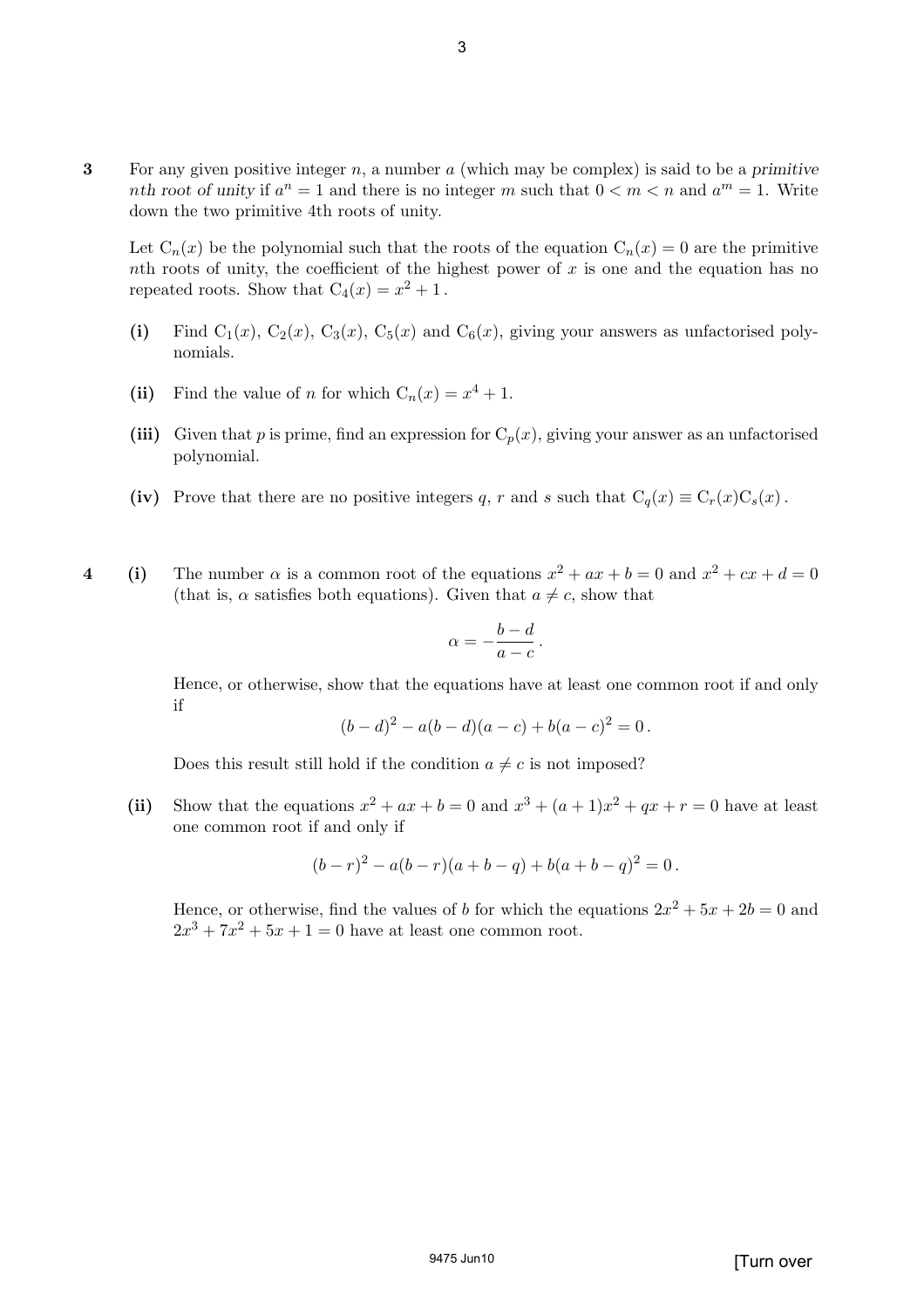3 For any given positive integer n, a number a (which may be complex) is said to be a primitive nth root of unity if  $a^n = 1$  and there is no integer m such that  $0 < m < n$  and  $a^m = 1$ . Write down the two primitive 4th roots of unity.

Let  $C_n(x)$  be the polynomial such that the roots of the equation  $C_n(x) = 0$  are the primitive nth roots of unity, the coefficient of the highest power of  $x$  is one and the equation has no repeated roots. Show that  $C_4(x) = x^2 + 1$ .

- (i) Find C<sub>1</sub>(x), C<sub>2</sub>(x), C<sub>3</sub>(x), C<sub>5</sub>(x) and C<sub>6</sub>(x), giving your answers as unfactorised polynomials.
- (ii) Find the value of *n* for which  $C_n(x) = x^4 + 1$ .
- (iii) Given that p is prime, find an expression for  $C_p(x)$ , giving your answer as an unfactorised polynomial.
- (iv) Prove that there are no positive integers q, r and s such that  $C_q(x) \equiv C_r(x)C_s(x)$ .
- 4 (i) The number  $\alpha$  is a common root of the equations  $x^2 + ax + b = 0$  and  $x^2 + cx + d = 0$ (that is,  $\alpha$  satisfies both equations). Given that  $a \neq c$ , show that

$$
\alpha = -\frac{b-d}{a-c} \, .
$$

Hence, or otherwise, show that the equations have at least one common root if and only if

$$
(b-d)^2 - a(b-d)(a-c) + b(a-c)^2 = 0.
$$

Does this result still hold if the condition  $a \neq c$  is not imposed?

(ii) Show that the equations  $x^2 + ax + b = 0$  and  $x^3 + (a+1)x^2 + qx + r = 0$  have at least one common root if and only if

$$
(b - r)2 - a(b - r)(a + b - q) + b(a + b - q)2 = 0.
$$

Hence, or otherwise, find the values of b for which the equations  $2x^2 + 5x + 2b = 0$  and  $2x^3 + 7x^2 + 5x + 1 = 0$  have at least one common root.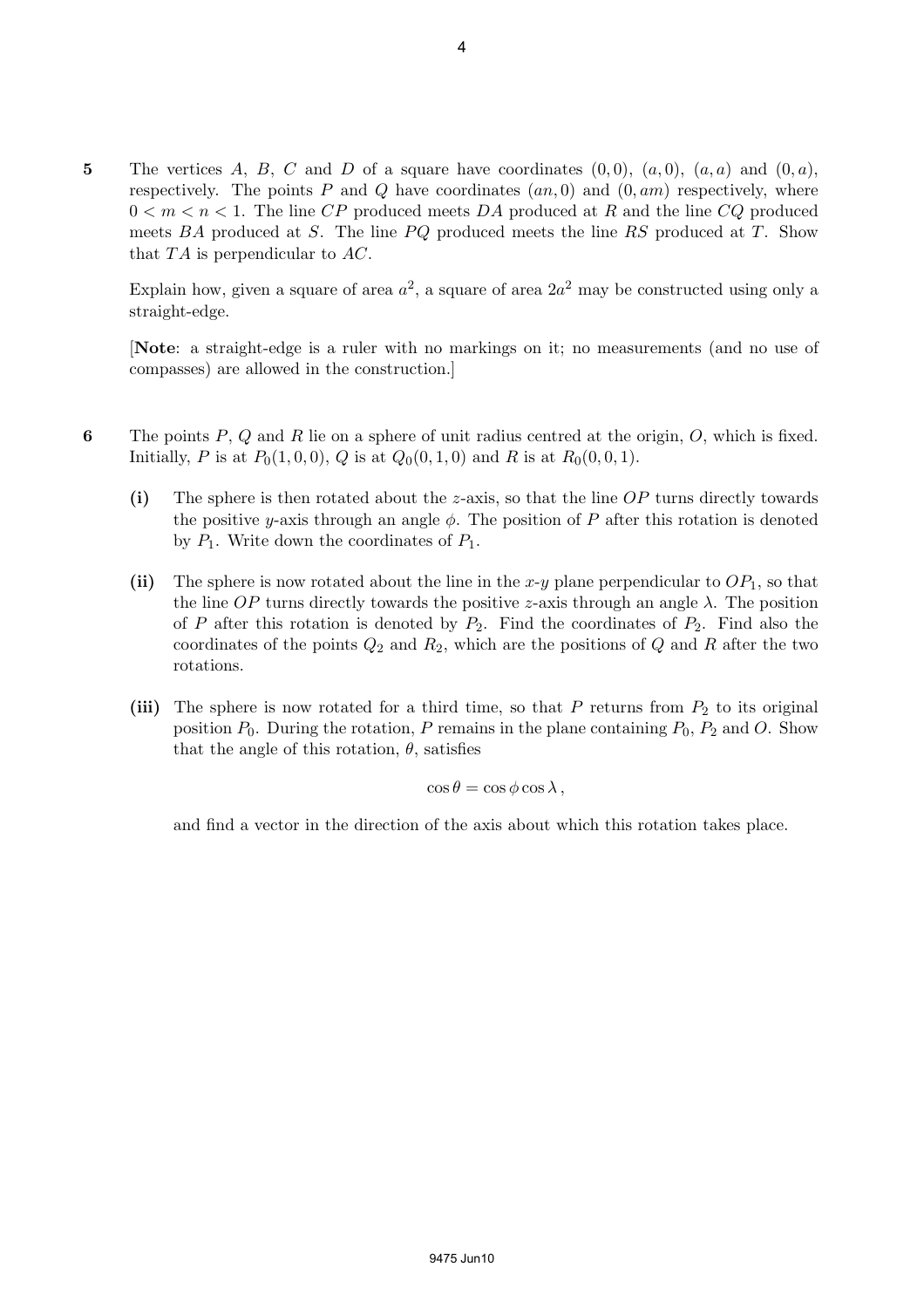5 The vertices A, B, C and D of a square have coordinates  $(0,0)$ ,  $(a,0)$ ,  $(a,a)$  and  $(0,a)$ , respectively. The points P and Q have coordinates  $(an, 0)$  and  $(0, am)$  respectively, where  $0 < m < n < 1$ . The line CP produced meets DA produced at R and the line CQ produced meets  $BA$  produced at S. The line  $PQ$  produced meets the line RS produced at T. Show that  $TA$  is perpendicular to  $AC$ .

Explain how, given a square of area  $a^2$ , a square of area  $2a^2$  may be constructed using only a straight-edge.

[Note: a straight-edge is a ruler with no markings on it; no measurements (and no use of compasses) are allowed in the construction.]

- 6 The points  $P, Q$  and  $R$  lie on a sphere of unit radius centred at the origin,  $O$ , which is fixed. Initially, P is at  $P_0(1, 0, 0)$ , Q is at  $Q_0(0, 1, 0)$  and R is at  $R_0(0, 0, 1)$ .
	- (i) The sphere is then rotated about the z-axis, so that the line  $OP$  turns directly towards the positive y-axis through an angle  $\phi$ . The position of P after this rotation is denoted by  $P_1$ . Write down the coordinates of  $P_1$ .
	- (ii) The sphere is now rotated about the line in the x-y plane perpendicular to  $OP_1$ , so that the line  $OP$  turns directly towards the positive *z*-axis through an angle  $\lambda$ . The position of  $P$  after this rotation is denoted by  $P_2$ . Find the coordinates of  $P_2$ . Find also the coordinates of the points  $Q_2$  and  $R_2$ , which are the positions of  $Q$  and  $R$  after the two rotations.
	- (iii) The sphere is now rotated for a third time, so that  $P$  returns from  $P_2$  to its original position  $P_0$ . During the rotation, P remains in the plane containing  $P_0$ ,  $P_2$  and O. Show that the angle of this rotation,  $\theta$ , satisfies

 $\cos \theta = \cos \phi \cos \lambda$ ,

and find a vector in the direction of the axis about which this rotation takes place.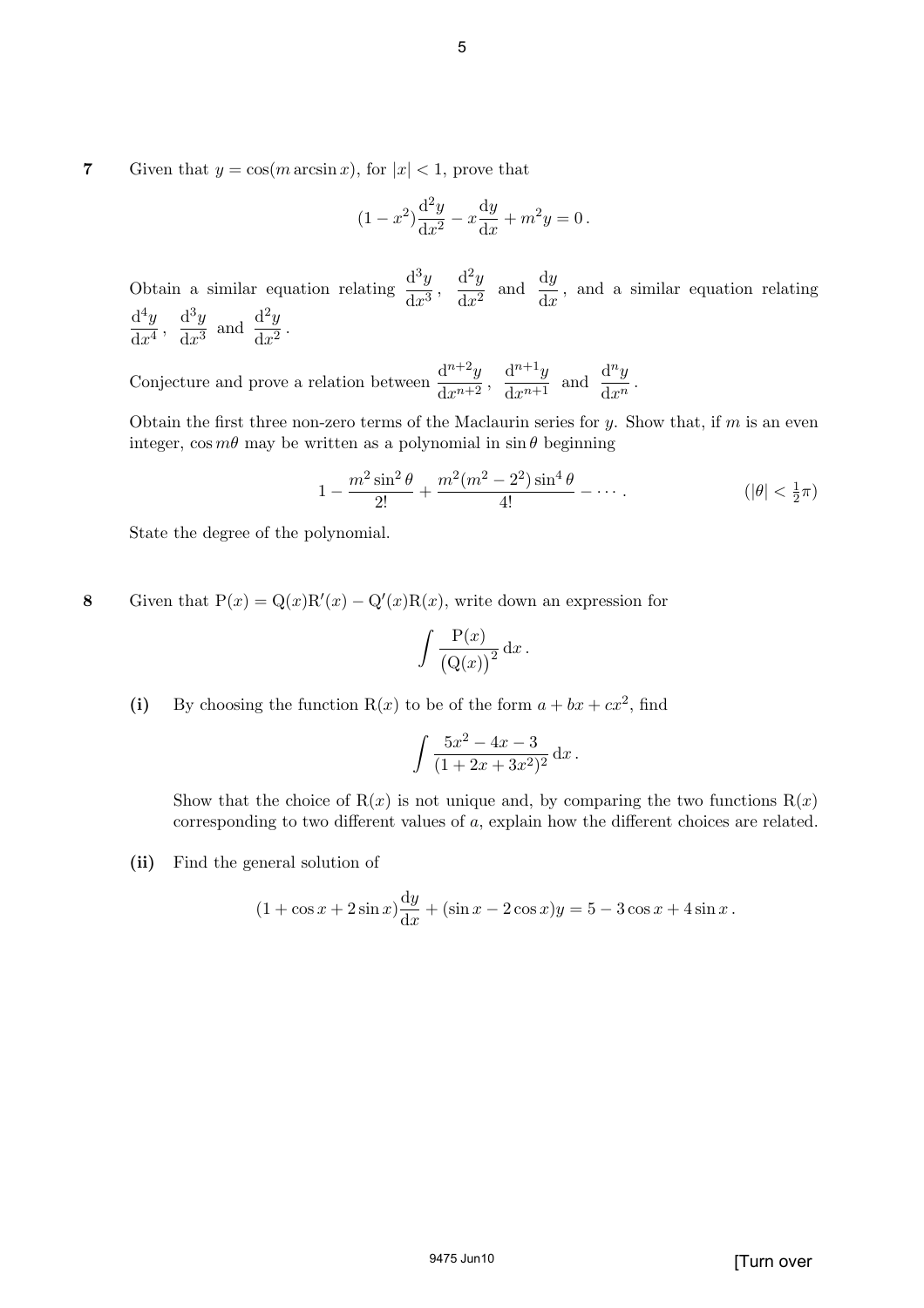7 Given that  $y = \cos(m \arcsin x)$ , for  $|x| < 1$ , prove that

$$
(1 - x^2) \frac{d^2 y}{dx^2} - x \frac{dy}{dx} + m^2 y = 0.
$$

Obtain a similar equation relating  $\frac{d^3y}{dx^3}$  $\frac{\mathrm{d}^3 y}{\mathrm{d} x^3}$ ,  $\frac{\mathrm{d}^2 y}{\mathrm{d} x^2}$  $\frac{d^2y}{dx^2}$  and  $\frac{dy}{dx}$ , and a similar equation relating  $d^4y$  $\frac{\mathrm{d}^4 y}{\mathrm{d}x^4}$ ,  $\frac{\mathrm{d}^3 y}{\mathrm{d}x^3}$  $\frac{\mathrm{d}^3 y}{\mathrm{d}x^3}$  and  $\frac{\mathrm{d}^2 y}{\mathrm{d}x^2}$  $\frac{d}{dx^2}$ .

Conjecture and prove a relation between  $\frac{d^{n+2}y}{1+y+2}$  $rac{\mathrm{d}^{n+2}y}{\mathrm{d}x^{n+2}}$ ,  $rac{\mathrm{d}^{n+1}y}{\mathrm{d}x^{n+1}}$  $\frac{\mathrm{d}^{n+1}y}{\mathrm{d}x^{n+1}}$  and  $\frac{\mathrm{d}^ny}{\mathrm{d}x^n}$  $\frac{d}{dx^n}$ .

Obtain the first three non-zero terms of the Maclaurin series for  $y$ . Show that, if  $m$  is an even integer,  $\cos m\theta$  may be written as a polynomial in  $\sin \theta$  beginning

$$
1 - \frac{m^2 \sin^2 \theta}{2!} + \frac{m^2 (m^2 - 2^2) \sin^4 \theta}{4!} - \dotsb \qquad (|\theta| < \frac{1}{2}\pi)
$$

State the degree of the polynomial.

8 Given that  $P(x) = Q(x)R'(x) - Q'(x)R(x)$ , write down an expression for

$$
\int \frac{P(x)}{(Q(x))^{2}} dx.
$$

(i) By choosing the function R(x) to be of the form  $a + bx + cx^2$ , find

$$
\int \frac{5x^2 - 4x - 3}{(1 + 2x + 3x^2)^2} \, \mathrm{d}x \, .
$$

Show that the choice of  $R(x)$  is not unique and, by comparing the two functions  $R(x)$ corresponding to two different values of a, explain how the different choices are related.

(ii) Find the general solution of

$$
(1 + \cos x + 2\sin x)\frac{dy}{dx} + (\sin x - 2\cos x)y = 5 - 3\cos x + 4\sin x.
$$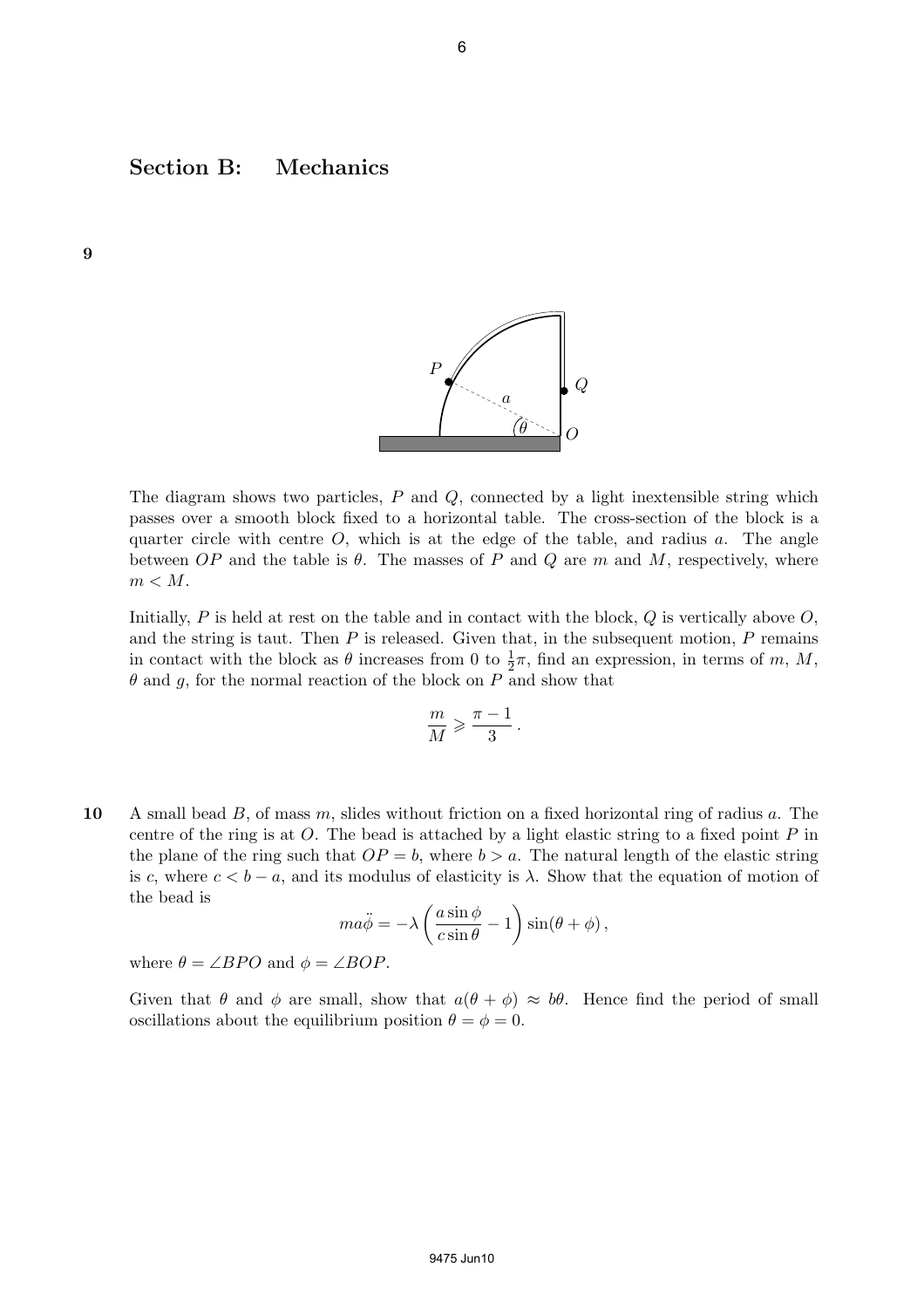#### Section B: Mechanics





The diagram shows two particles,  $P$  and  $Q$ , connected by a light inextensible string which passes over a smooth block fixed to a horizontal table. The cross-section of the block is a quarter circle with centre  $O$ , which is at the edge of the table, and radius  $a$ . The angle between OP and the table is  $\theta$ . The masses of P and Q are m and M, respectively, where  $m < M$ .

Initially,  $P$  is held at rest on the table and in contact with the block,  $Q$  is vertically above  $O$ , and the string is taut. Then  $P$  is released. Given that, in the subsequent motion,  $P$  remains in contact with the block as  $\theta$  increases from 0 to  $\frac{1}{2}\pi$ , find an expression, in terms of m, M,  $\theta$  and g, for the normal reaction of the block on P and show that

$$
\frac{m}{M} \geqslant \frac{\pi-1}{3} \, .
$$

10 A small bead B, of mass  $m$ , slides without friction on a fixed horizontal ring of radius  $a$ . The centre of the ring is at  $O$ . The bead is attached by a light elastic string to a fixed point  $P$  in the plane of the ring such that  $OP = b$ , where  $b > a$ . The natural length of the elastic string is c, where  $c < b - a$ , and its modulus of elasticity is  $\lambda$ . Show that the equation of motion of the bead is  $\overline{a}$  $\mathbf{r}$ 

$$
ma\ddot{\phi} = -\lambda \left(\frac{a\sin\phi}{c\sin\theta} - 1\right)\sin(\theta + \phi),
$$

where  $\theta = \angle BPO$  and  $\phi = \angle BOP$ .

Given that  $\theta$  and  $\phi$  are small, show that  $a(\theta + \phi) \approx b\theta$ . Hence find the period of small oscillations about the equilibrium position  $\theta = \phi = 0$ .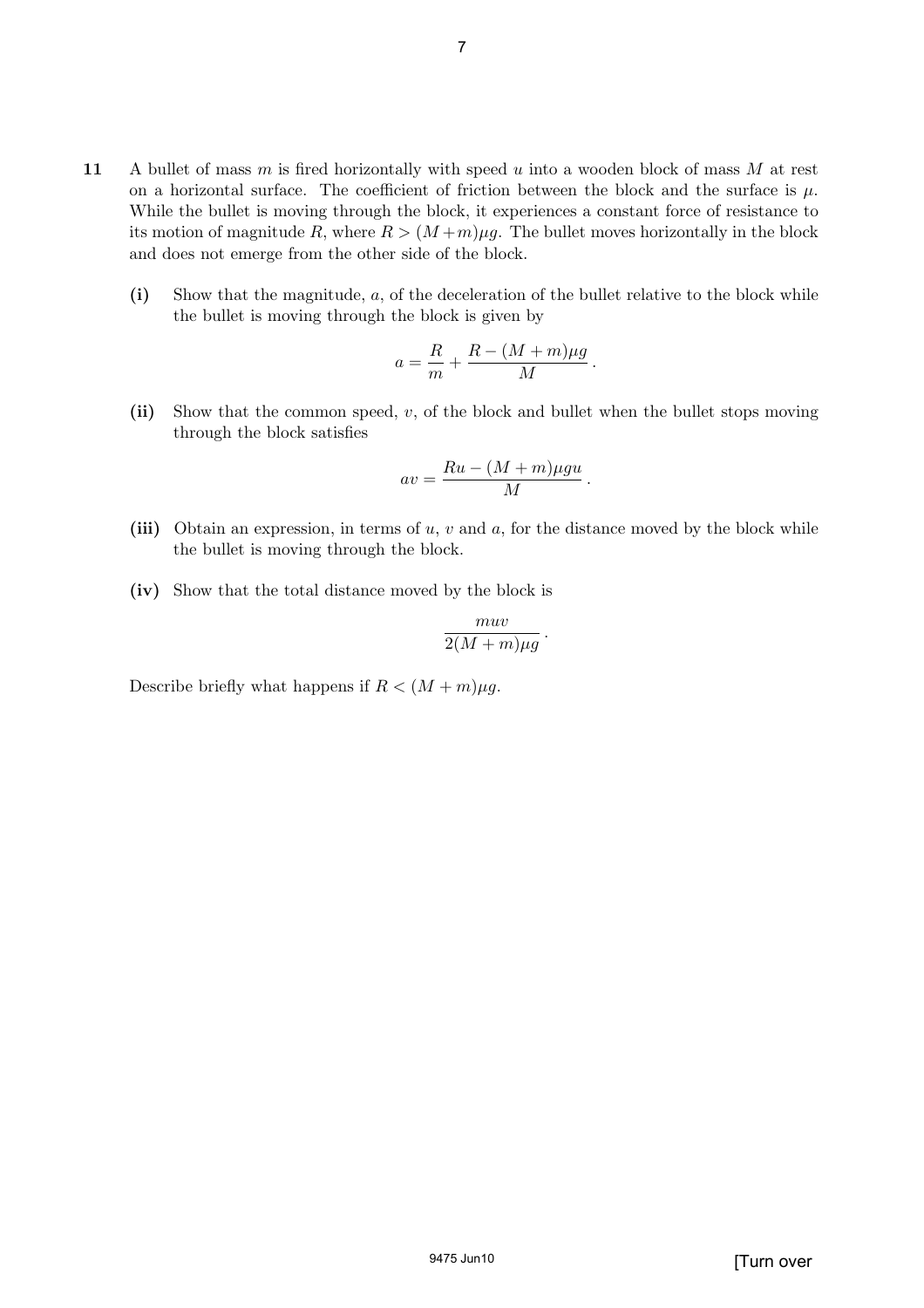- 11 A bullet of mass m is fired horizontally with speed u into a wooden block of mass M at rest on a horizontal surface. The coefficient of friction between the block and the surface is  $\mu$ . While the bullet is moving through the block, it experiences a constant force of resistance to its motion of magnitude R, where  $R > (M+m)\mu q$ . The bullet moves horizontally in the block and does not emerge from the other side of the block.
	- (i) Show that the magnitude, a, of the deceleration of the bullet relative to the block while the bullet is moving through the block is given by

$$
a = \frac{R}{m} + \frac{R - (M+m)\mu g}{M}.
$$

(ii) Show that the common speed, v, of the block and bullet when the bullet stops moving through the block satisfies

$$
av = \frac{Ru - (M+m)\mu gu}{M}.
$$

- (iii) Obtain an expression, in terms of  $u, v$  and  $a$ , for the distance moved by the block while the bullet is moving through the block.
- (iv) Show that the total distance moved by the block is

$$
\frac{mu v}{2(M+m)\mu g}.
$$

Describe briefly what happens if  $R < (M+m)\mu g$ .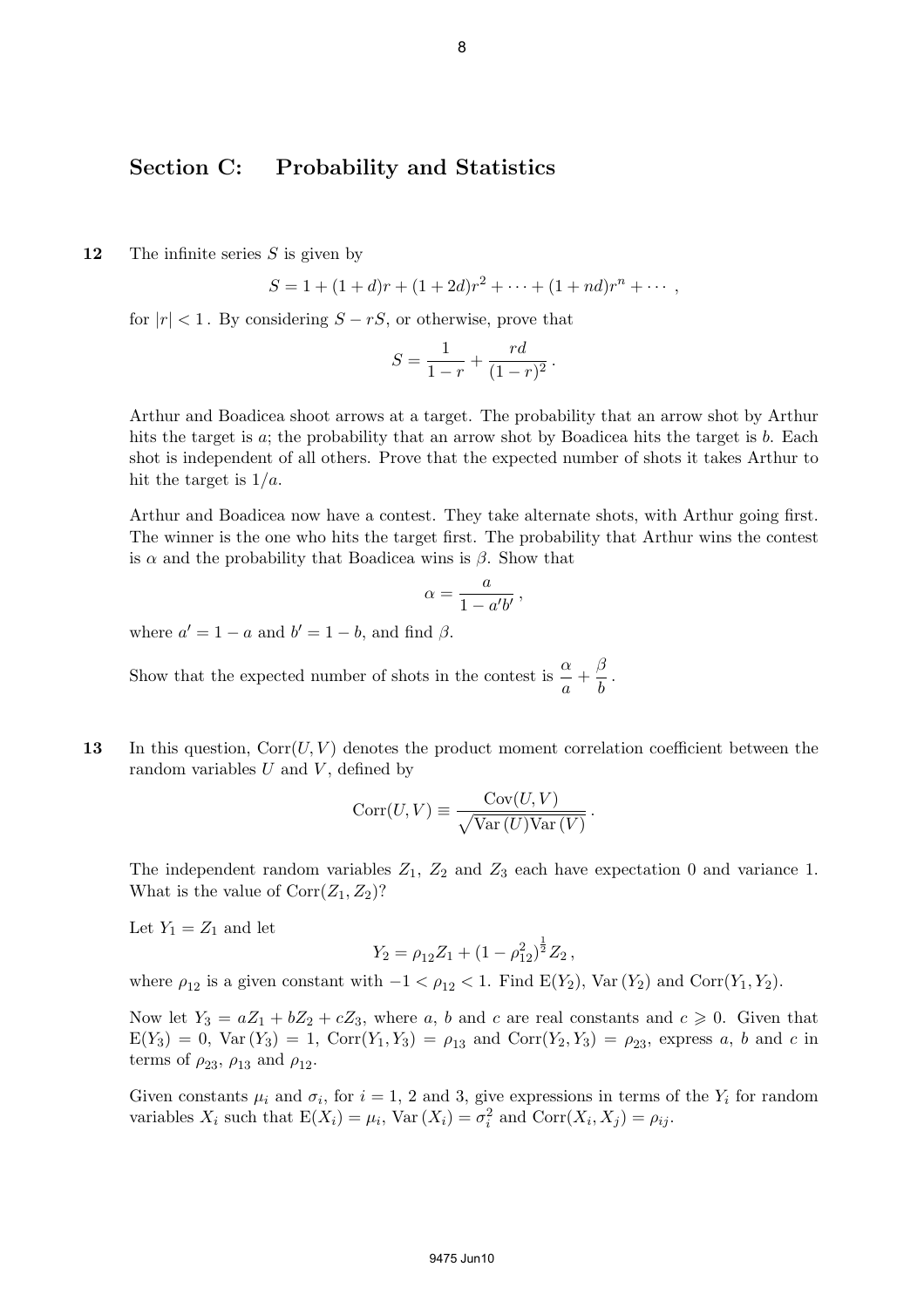#### Section C: Probability and Statistics

12 The infinite series  $S$  is given by

$$
S = 1 + (1 + d)r + (1 + 2d)r^{2} + \cdots + (1 + nd)r^{n} + \cdots,
$$

for  $|r| < 1$ . By considering  $S - rS$ , or otherwise, prove that

$$
S = \frac{1}{1-r} + \frac{rd}{(1-r)^2} \, .
$$

Arthur and Boadicea shoot arrows at a target. The probability that an arrow shot by Arthur hits the target is a; the probability that an arrow shot by Boadicea hits the target is b. Each shot is independent of all others. Prove that the expected number of shots it takes Arthur to hit the target is  $1/a$ .

Arthur and Boadicea now have a contest. They take alternate shots, with Arthur going first. The winner is the one who hits the target first. The probability that Arthur wins the contest is  $\alpha$  and the probability that Boadicea wins is  $\beta$ . Show that

$$
\alpha = \frac{a}{1 - a'b'},
$$

where  $a' = 1 - a$  and  $b' = 1 - b$ , and find  $\beta$ .

Show that the expected number of shots in the contest is  $\frac{\alpha}{a} + \frac{\beta}{b}$  $\frac{b}{b}$ .

13 In this question,  $Corr(U, V)$  denotes the product moment correlation coefficient between the random variables  $U$  and  $V$ , defined by

$$
Corr(U, V) \equiv \frac{Cov(U, V)}{\sqrt{Var(U)Var(V)}}
$$

.

The independent random variables  $Z_1$ ,  $Z_2$  and  $Z_3$  each have expectation 0 and variance 1. What is the value of  $Corr(Z_1, Z_2)$ ?

Let  $Y_1 = Z_1$  and let

$$
Y_2 = \rho_{12} Z_1 + (1 - \rho_{12}^2)^{\frac{1}{2}} Z_2,
$$

where  $\rho_{12}$  is a given constant with  $-1 < \rho_{12} < 1$ . Find  $E(Y_2)$ , Var  $(Y_2)$  and Corr $(Y_1, Y_2)$ .

Now let  $Y_3 = aZ_1 + bZ_2 + cZ_3$ , where a, b and c are real constants and  $c \ge 0$ . Given that  $E(Y_3) = 0$ ,  $Var(Y_3) = 1$ ,  $Corr(Y_1, Y_3) = \rho_{13}$  and  $Corr(Y_2, Y_3) = \rho_{23}$ , express a, b and c in terms of  $\rho_{23}$ ,  $\rho_{13}$  and  $\rho_{12}$ .

Given constants  $\mu_i$  and  $\sigma_i$ , for  $i = 1, 2$  and 3, give expressions in terms of the  $Y_i$  for random variables  $X_i$  such that  $E(X_i) = \mu_i$ ,  $Var(X_i) = \sigma_i^2$  and  $Corr(X_i, X_j) = \rho_{ij}$ .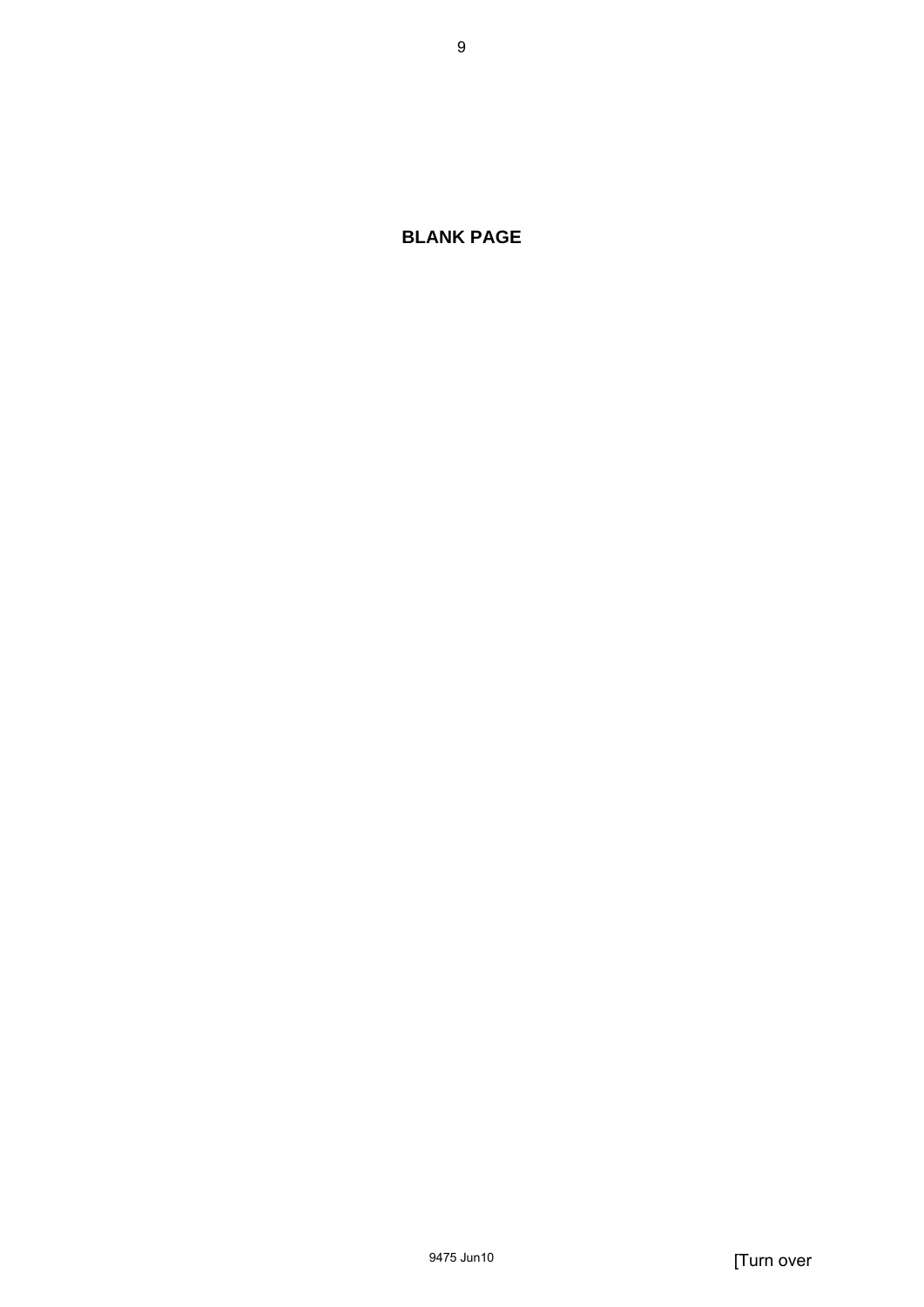## **BLANK PAGE**

 $\overline{9}$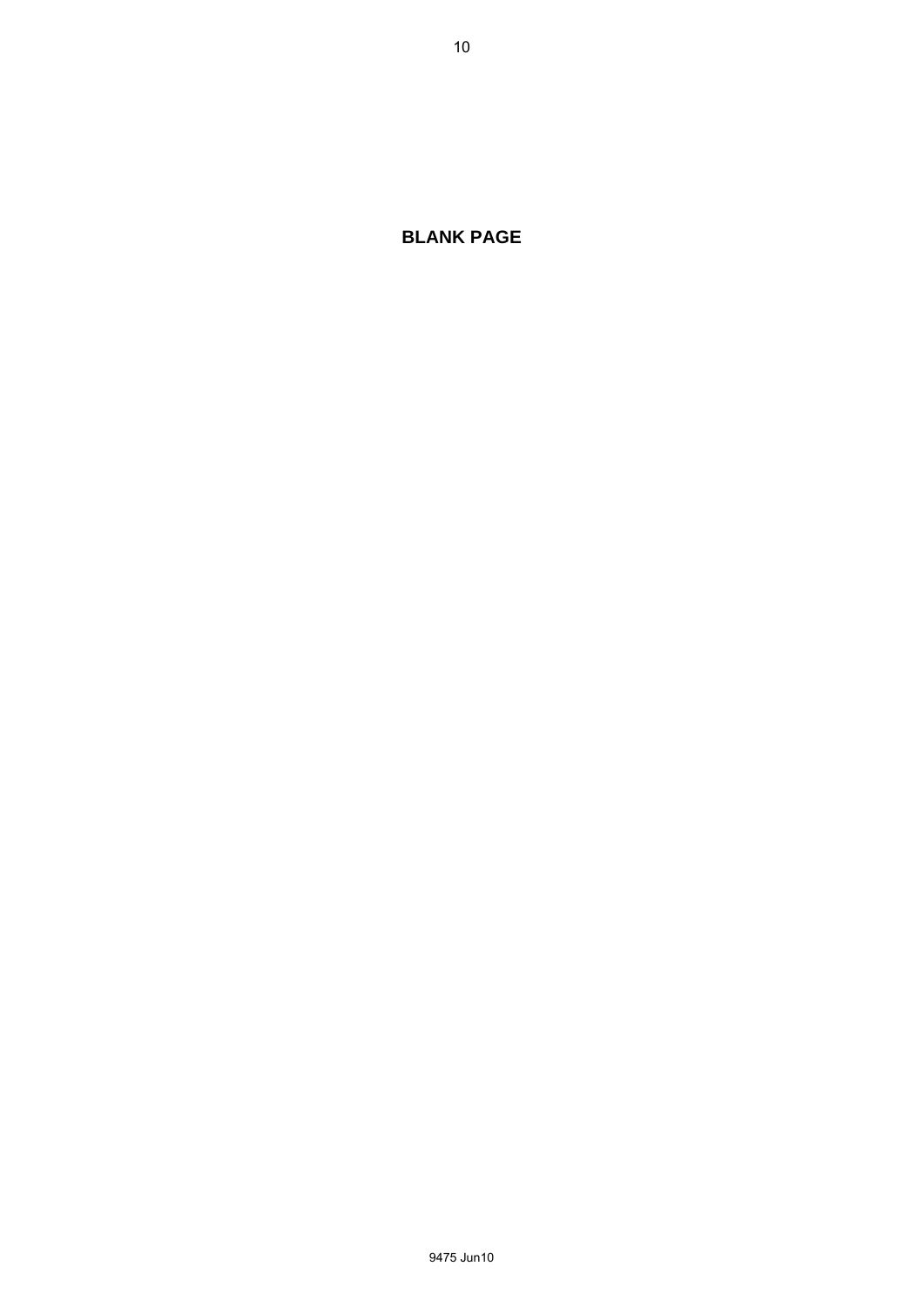#### 9475 Jun10

**BLANK PAGE**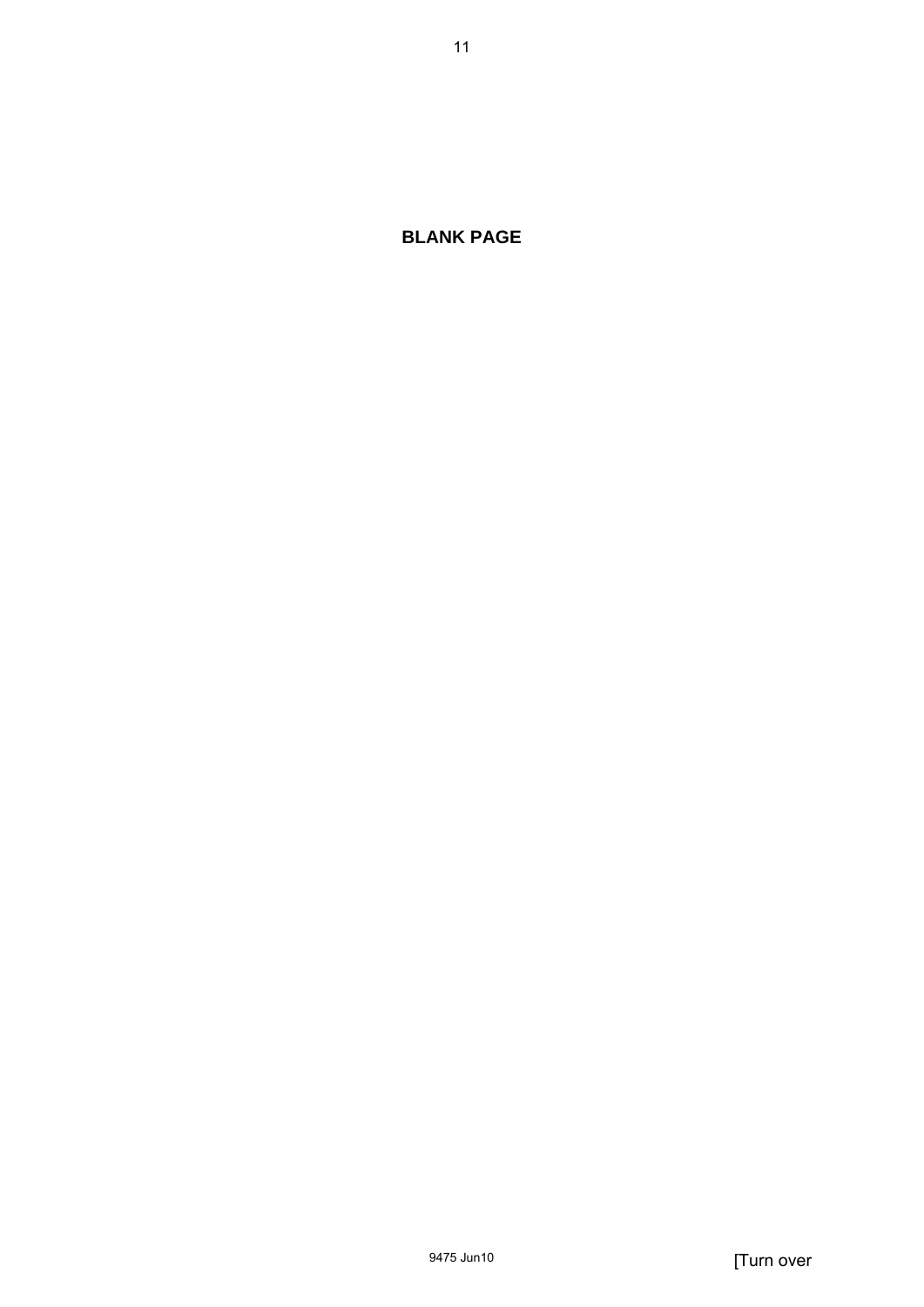**BLANK PAGE** 

 $11$